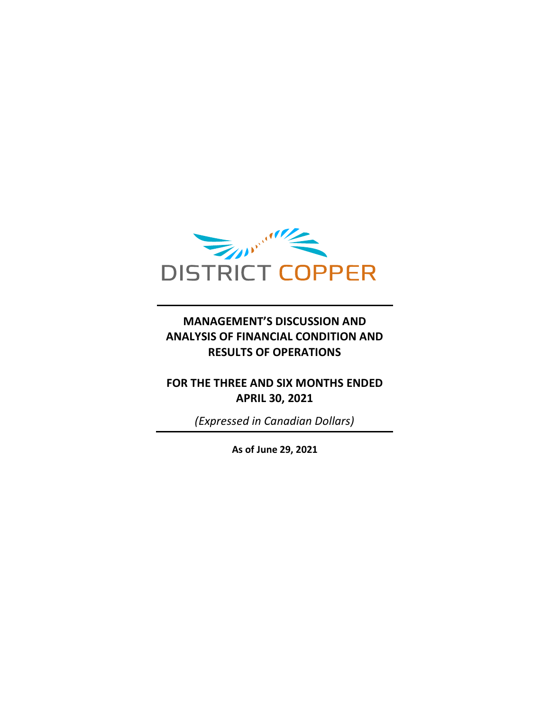

## **MANAGEMENT'S DISCUSSION AND ANALYSIS OF FINANCIAL CONDITION AND RESULTS OF OPERATIONS**

### **FOR THE THREE AND SIX MONTHS ENDED APRIL 30, 2021**

*(Expressed in Canadian Dollars)*

**As of June 29, 2021**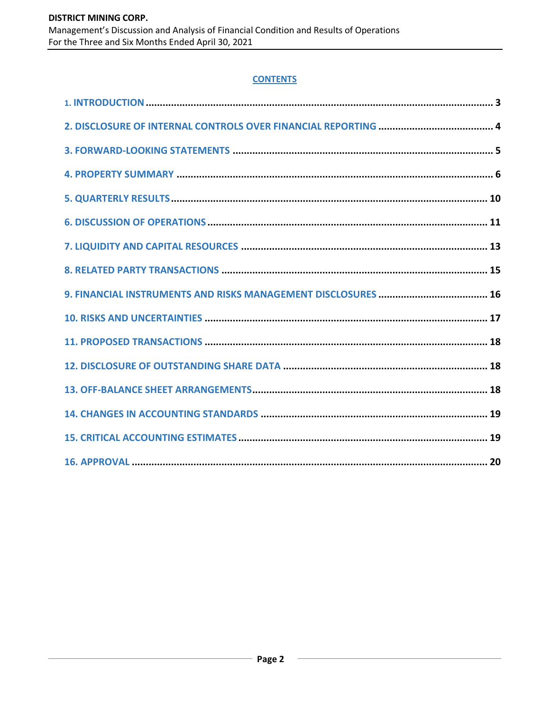### **CONTENTS**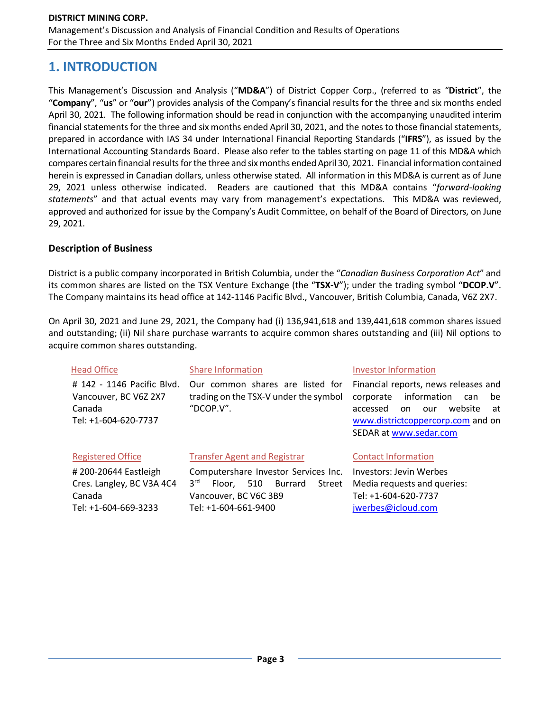## **1. INTRODUCTION**

This Management's Discussion and Analysis ("**MD&A**") of District Copper Corp., (referred to as "**District**", the "**Company**", "**us**" or "**our**") provides analysis of the Company's financial results for the three and six months ended April 30, 2021. The following information should be read in conjunction with the accompanying unaudited interim financial statements for the three and six months ended April 30, 2021, and the notes to those financial statements, prepared in accordance with IAS 34 under International Financial Reporting Standards ("**IFRS**"), as issued by the International Accounting Standards Board. Please also refer to the tables starting on page 11 of this MD&A which compares certain financial results for the three and six months ended April 30, 2021. Financial information contained herein is expressed in Canadian dollars, unless otherwise stated. All information in this MD&A is current as of June 29, 2021 unless otherwise indicated. Readers are cautioned that this MD&A contains "*forward-looking statements*" and that actual events may vary from management's expectations. This MD&A was reviewed, approved and authorized for issue by the Company's Audit Committee, on behalf of the Board of Directors, on June 29, 2021.

### **Description of Business**

District is a public company incorporated in British Columbia, under the "*Canadian Business Corporation Act*" and its common shares are listed on the TSX Venture Exchange (the "**TSX-V**"); under the trading symbol "**DCOP.V**". The Company maintains its head office at 142-1146 Pacific Blvd., Vancouver, British Columbia, Canada, V6Z 2X7.

On April 30, 2021 and June 29, 2021, the Company had (i) 136,941,618 and 139,441,618 common shares issued and outstanding; (ii) Nil share purchase warrants to acquire common shares outstanding and (iii) Nil options to acquire common shares outstanding.

| <b>Head Office</b>                                                                    | <b>Share Information</b>                                                               | <b>Investor Information</b>                                                                                                                                                             |
|---------------------------------------------------------------------------------------|----------------------------------------------------------------------------------------|-----------------------------------------------------------------------------------------------------------------------------------------------------------------------------------------|
| # 142 - 1146 Pacific Blvd.<br>Vancouver, BC V6Z 2X7<br>Canada<br>Tel: +1-604-620-7737 | Our common shares are listed for<br>trading on the TSX-V under the symbol<br>"DCOP.V". | Financial reports, news releases and<br>information<br>corporate<br>be<br>can<br>website<br>accessed<br>on.<br>our<br>at<br>www.districtcoppercorp.com and on<br>SEDAR at www.sedar.com |
| <b>Registered Office</b>                                                              | <b>Transfer Agent and Registrar</b>                                                    | <b>Contact Information</b>                                                                                                                                                              |
| # 200-20644 Eastleigh                                                                 | Computershare Investor Services Inc.                                                   | <b>Investors: Jevin Werbes</b>                                                                                                                                                          |
| Cres. Langley, BC V3A 4C4                                                             | 3 <sup>rd</sup><br>Burrard<br>510<br>Street<br>Floor,                                  | Media requests and queries:                                                                                                                                                             |
| Canada                                                                                | Vancouver, BC V6C 3B9                                                                  | Tel: +1-604-620-7737                                                                                                                                                                    |
| Tel: +1-604-669-3233                                                                  | Tel: +1-604-661-9400                                                                   | jwerbes@icloud.com                                                                                                                                                                      |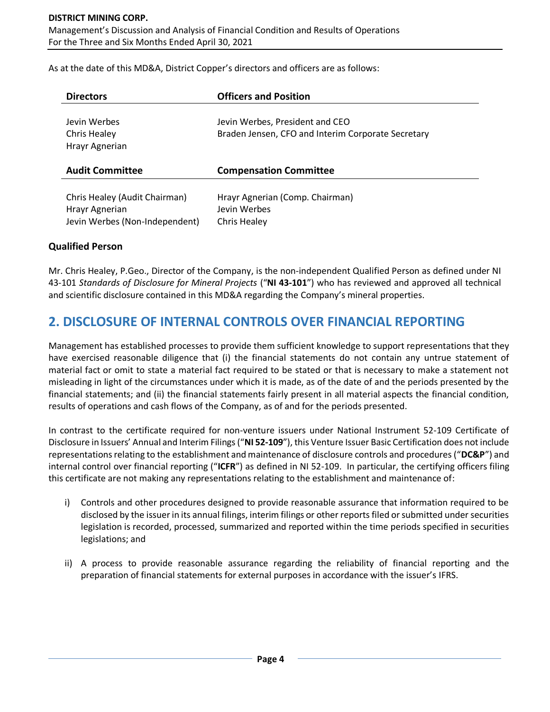As at the date of this MD&A, District Copper's directors and officers are as follows:

| <b>Directors</b>                               | <b>Officers and Position</b>                                                          |
|------------------------------------------------|---------------------------------------------------------------------------------------|
| Jevin Werbes<br>Chris Healey<br>Hrayr Agnerian | Jevin Werbes, President and CEO<br>Braden Jensen, CFO and Interim Corporate Secretary |
| <b>Audit Committee</b>                         | <b>Compensation Committee</b>                                                         |
| Chris Healey (Audit Chairman)                  | Hrayr Agnerian (Comp. Chairman)                                                       |

#### **Qualified Person**

Mr. Chris Healey, P.Geo., Director of the Company, is the non-independent Qualified Person as defined under NI 43-101 *Standards of Disclosure for Mineral Projects* ("**NI 43-101**") who has reviewed and approved all technical and scientific disclosure contained in this MD&A regarding the Company's mineral properties.

## **2. DISCLOSURE OF INTERNAL CONTROLS OVER FINANCIAL REPORTING**

Management has established processes to provide them sufficient knowledge to support representations that they have exercised reasonable diligence that (i) the financial statements do not contain any untrue statement of material fact or omit to state a material fact required to be stated or that is necessary to make a statement not misleading in light of the circumstances under which it is made, as of the date of and the periods presented by the financial statements; and (ii) the financial statements fairly present in all material aspects the financial condition, results of operations and cash flows of the Company, as of and for the periods presented.

In contrast to the certificate required for non-venture issuers under National Instrument 52-109 Certificate of Disclosure in Issuers' Annual and Interim Filings ("**NI 52-109**"), this Venture Issuer Basic Certification does not include representations relating to the establishment and maintenance of disclosure controls and procedures ("**DC&P**") and internal control over financial reporting ("**ICFR**") as defined in NI 52-109. In particular, the certifying officers filing this certificate are not making any representations relating to the establishment and maintenance of:

- i) Controls and other procedures designed to provide reasonable assurance that information required to be disclosed by the issuer in its annual filings, interim filings or other reports filed or submitted under securities legislation is recorded, processed, summarized and reported within the time periods specified in securities legislations; and
- ii) A process to provide reasonable assurance regarding the reliability of financial reporting and the preparation of financial statements for external purposes in accordance with the issuer's IFRS.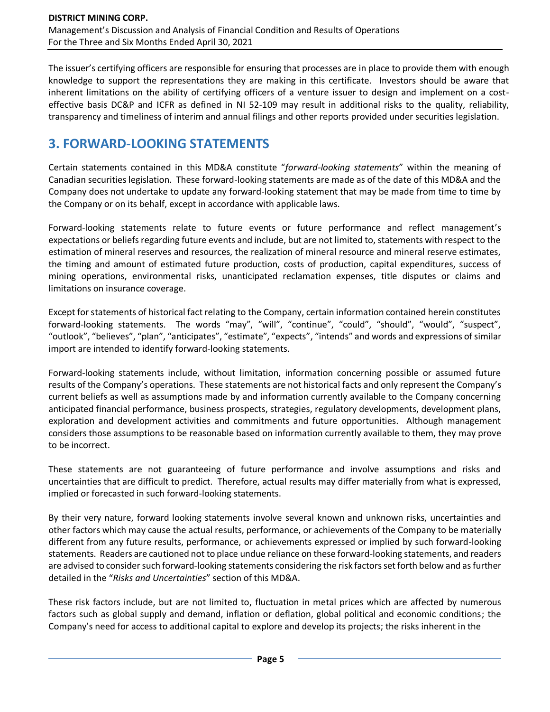The issuer's certifying officers are responsible for ensuring that processes are in place to provide them with enough knowledge to support the representations they are making in this certificate. Investors should be aware that inherent limitations on the ability of certifying officers of a venture issuer to design and implement on a costeffective basis DC&P and ICFR as defined in NI 52-109 may result in additional risks to the quality, reliability, transparency and timeliness of interim and annual filings and other reports provided under securities legislation.

# **3. FORWARD-LOOKING STATEMENTS**

Certain statements contained in this MD&A constitute "*forward-looking statements*" within the meaning of Canadian securities legislation. These forward-looking statements are made as of the date of this MD&A and the Company does not undertake to update any forward-looking statement that may be made from time to time by the Company or on its behalf, except in accordance with applicable laws.

Forward-looking statements relate to future events or future performance and reflect management's expectations or beliefs regarding future events and include, but are not limited to, statements with respect to the estimation of mineral reserves and resources, the realization of mineral resource and mineral reserve estimates, the timing and amount of estimated future production, costs of production, capital expenditures, success of mining operations, environmental risks, unanticipated reclamation expenses, title disputes or claims and limitations on insurance coverage.

Except for statements of historical fact relating to the Company, certain information contained herein constitutes forward-looking statements. The words "may", "will", "continue", "could", "should", "would", "suspect", "outlook", "believes", "plan", "anticipates", "estimate", "expects", "intends" and words and expressions of similar import are intended to identify forward-looking statements.

Forward-looking statements include, without limitation, information concerning possible or assumed future results of the Company's operations. These statements are not historical facts and only represent the Company's current beliefs as well as assumptions made by and information currently available to the Company concerning anticipated financial performance, business prospects, strategies, regulatory developments, development plans, exploration and development activities and commitments and future opportunities. Although management considers those assumptions to be reasonable based on information currently available to them, they may prove to be incorrect.

These statements are not guaranteeing of future performance and involve assumptions and risks and uncertainties that are difficult to predict. Therefore, actual results may differ materially from what is expressed, implied or forecasted in such forward-looking statements.

By their very nature, forward looking statements involve several known and unknown risks, uncertainties and other factors which may cause the actual results, performance, or achievements of the Company to be materially different from any future results, performance, or achievements expressed or implied by such forward-looking statements. Readers are cautioned not to place undue reliance on these forward-looking statements, and readers are advised to consider such forward-looking statements considering the risk factors set forth below and as further detailed in the "*Risks and Uncertainties*" section of this MD&A.

These risk factors include, but are not limited to, fluctuation in metal prices which are affected by numerous factors such as global supply and demand, inflation or deflation, global political and economic conditions; the Company's need for access to additional capital to explore and develop its projects; the risks inherent in the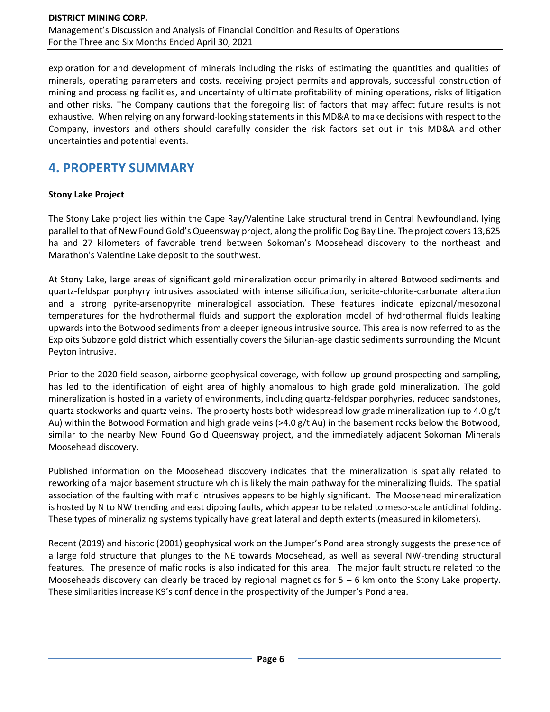exploration for and development of minerals including the risks of estimating the quantities and qualities of minerals, operating parameters and costs, receiving project permits and approvals, successful construction of mining and processing facilities, and uncertainty of ultimate profitability of mining operations, risks of litigation and other risks. The Company cautions that the foregoing list of factors that may affect future results is not exhaustive. When relying on any forward-looking statements in this MD&A to make decisions with respect to the Company, investors and others should carefully consider the risk factors set out in this MD&A and other uncertainties and potential events.

# **4. PROPERTY SUMMARY**

### **Stony Lake Project**

The Stony Lake project lies within the Cape Ray/Valentine Lake structural trend in Central Newfoundland, lying parallel to that of New Found Gold's Queensway project, along the prolific Dog Bay Line. The project covers 13,625 ha and 27 kilometers of favorable trend between Sokoman's Moosehead discovery to the northeast and Marathon's Valentine Lake deposit to the southwest.

At Stony Lake, large areas of significant gold mineralization occur primarily in altered Botwood sediments and quartz-feldspar porphyry intrusives associated with intense silicification, sericite-chlorite-carbonate alteration and a strong pyrite-arsenopyrite mineralogical association. These features indicate epizonal/mesozonal temperatures for the hydrothermal fluids and support the exploration model of hydrothermal fluids leaking upwards into the Botwood sediments from a deeper igneous intrusive source. This area is now referred to as the Exploits Subzone gold district which essentially covers the Silurian-age clastic sediments surrounding the Mount Peyton intrusive.

Prior to the 2020 field season, airborne geophysical coverage, with follow-up ground prospecting and sampling, has led to the identification of eight area of highly anomalous to high grade gold mineralization. The gold mineralization is hosted in a variety of environments, including quartz-feldspar porphyries, reduced sandstones, quartz stockworks and quartz veins. The property hosts both widespread low grade mineralization (up to 4.0 g/t Au) within the Botwood Formation and high grade veins (>4.0 g/t Au) in the basement rocks below the Botwood, similar to the nearby New Found Gold Queensway project, and the immediately adjacent Sokoman Minerals Moosehead discovery.

Published information on the Moosehead discovery indicates that the mineralization is spatially related to reworking of a major basement structure which is likely the main pathway for the mineralizing fluids. The spatial association of the faulting with mafic intrusives appears to be highly significant. The Moosehead mineralization is hosted by N to NW trending and east dipping faults, which appear to be related to meso-scale anticlinal folding. These types of mineralizing systems typically have great lateral and depth extents (measured in kilometers).

Recent (2019) and historic (2001) geophysical work on the Jumper's Pond area strongly suggests the presence of a large fold structure that plunges to the NE towards Moosehead, as well as several NW-trending structural features. The presence of mafic rocks is also indicated for this area. The major fault structure related to the Mooseheads discovery can clearly be traced by regional magnetics for  $5 - 6$  km onto the Stony Lake property. These similarities increase K9's confidence in the prospectivity of the Jumper's Pond area.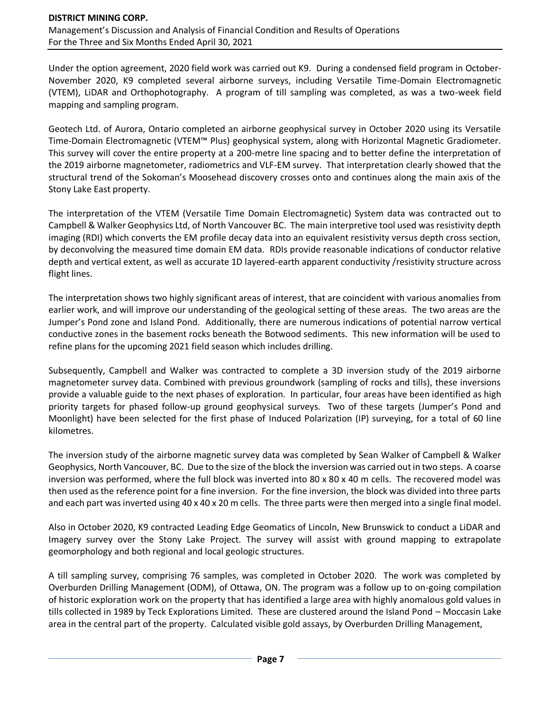Under the option agreement, 2020 field work was carried out K9. During a condensed field program in October-November 2020, K9 completed several airborne surveys, including Versatile Time-Domain Electromagnetic (VTEM), LiDAR and Orthophotography. A program of till sampling was completed, as was a two-week field mapping and sampling program.

Geotech Ltd. of Aurora, Ontario completed an airborne geophysical survey in October 2020 using its Versatile Time-Domain Electromagnetic (VTEM™ Plus) geophysical system, along with Horizontal Magnetic Gradiometer. This survey will cover the entire property at a 200-metre line spacing and to better define the interpretation of the 2019 airborne magnetometer, radiometrics and VLF-EM survey. That interpretation clearly showed that the structural trend of the Sokoman's Moosehead discovery crosses onto and continues along the main axis of the Stony Lake East property.

The interpretation of the VTEM (Versatile Time Domain Electromagnetic) System data was contracted out to Campbell & Walker Geophysics Ltd, of North Vancouver BC. The main interpretive tool used was resistivity depth imaging (RDI) which converts the EM profile decay data into an equivalent resistivity versus depth cross section, by deconvolving the measured time domain EM data. RDIs provide reasonable indications of conductor relative depth and vertical extent, as well as accurate 1D layered-earth apparent conductivity /resistivity structure across flight lines.

The interpretation shows two highly significant areas of interest, that are coincident with various anomalies from earlier work, and will improve our understanding of the geological setting of these areas. The two areas are the Jumper's Pond zone and Island Pond. Additionally, there are numerous indications of potential narrow vertical conductive zones in the basement rocks beneath the Botwood sediments. This new information will be used to refine plans for the upcoming 2021 field season which includes drilling.

Subsequently, Campbell and Walker was contracted to complete a 3D inversion study of the 2019 airborne magnetometer survey data. Combined with previous groundwork (sampling of rocks and tills), these inversions provide a valuable guide to the next phases of exploration. In particular, four areas have been identified as high priority targets for phased follow-up ground geophysical surveys. Two of these targets (Jumper's Pond and Moonlight) have been selected for the first phase of Induced Polarization (IP) surveying, for a total of 60 line kilometres.

The inversion study of the airborne magnetic survey data was completed by Sean Walker of Campbell & Walker Geophysics, North Vancouver, BC. Due to the size of the block the inversion was carried out in two steps. A coarse inversion was performed, where the full block was inverted into 80 x 80 x 40 m cells. The recovered model was then used as the reference point for a fine inversion. For the fine inversion, the block was divided into three parts and each part was inverted using 40 x 40 x 20 m cells. The three parts were then merged into a single final model.

Also in October 2020, K9 contracted Leading Edge Geomatics of Lincoln, New Brunswick to conduct a LiDAR and Imagery survey over the Stony Lake Project. The survey will assist with ground mapping to extrapolate geomorphology and both regional and local geologic structures.

A till sampling survey, comprising 76 samples, was completed in October 2020. The work was completed by Overburden Drilling Management (ODM), of Ottawa, ON. The program was a follow up to on-going compilation of historic exploration work on the property that has identified a large area with highly anomalous gold values in tills collected in 1989 by Teck Explorations Limited. These are clustered around the Island Pond – Moccasin Lake area in the central part of the property. Calculated visible gold assays, by Overburden Drilling Management,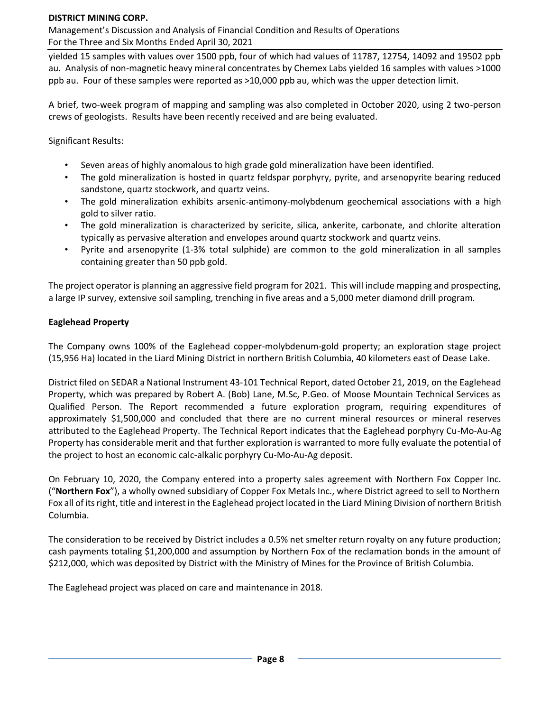Management's Discussion and Analysis of Financial Condition and Results of Operations For the Three and Six Months Ended April 30, 2021

yielded 15 samples with values over 1500 ppb, four of which had values of 11787, 12754, 14092 and 19502 ppb au. Analysis of non-magnetic heavy mineral concentrates by Chemex Labs yielded 16 samples with values >1000 ppb au. Four of these samples were reported as >10,000 ppb au, which was the upper detection limit.

A brief, two-week program of mapping and sampling was also completed in October 2020, using 2 two-person crews of geologists. Results have been recently received and are being evaluated.

Significant Results:

- Seven areas of highly anomalous to high grade gold mineralization have been identified.
- The gold mineralization is hosted in quartz feldspar porphyry, pyrite, and arsenopyrite bearing reduced sandstone, quartz stockwork, and quartz veins.
- The gold mineralization exhibits arsenic-antimony-molybdenum geochemical associations with a high gold to silver ratio.
- The gold mineralization is characterized by sericite, silica, ankerite, carbonate, and chlorite alteration typically as pervasive alteration and envelopes around quartz stockwork and quartz veins.
- Pyrite and arsenopyrite (1-3% total sulphide) are common to the gold mineralization in all samples containing greater than 50 ppb gold.

The project operator is planning an aggressive field program for 2021. This will include mapping and prospecting, a large IP survey, extensive soil sampling, trenching in five areas and a 5,000 meter diamond drill program.

### **Eaglehead Property**

The Company owns 100% of the Eaglehead copper-molybdenum-gold property; an exploration stage project (15,956 Ha) located in the Liard Mining District in northern British Columbia, 40 kilometers east of Dease Lake.

District filed on SEDAR a National Instrument 43-101 Technical Report, dated October 21, 2019, on the Eaglehead Property, which was prepared by Robert A. (Bob) Lane, M.Sc, P.Geo. of Moose Mountain Technical Services as Qualified Person. The Report recommended a future exploration program, requiring expenditures of approximately \$1,500,000 and concluded that there are no current mineral resources or mineral reserves attributed to the Eaglehead Property. The Technical Report indicates that the Eaglehead porphyry Cu-Mo-Au-Ag Property has considerable merit and that further exploration is warranted to more fully evaluate the potential of the project to host an economic calc-alkalic porphyry Cu-Mo-Au-Ag deposit.

On February 10, 2020, the Company entered into a property sales agreement with Northern Fox Copper Inc. ("**Northern Fox**"), a wholly owned subsidiary of Copper Fox Metals Inc., where District agreed to sell to Northern Fox all of its right, title and interest in the Eaglehead project located in the Liard Mining Division of northern British Columbia.

The consideration to be received by District includes a 0.5% net smelter return royalty on any future production; cash payments totaling \$1,200,000 and assumption by Northern Fox of the reclamation bonds in the amount of \$212,000, which was deposited by District with the Ministry of Mines for the Province of British Columbia.

The Eaglehead project was placed on care and maintenance in 2018.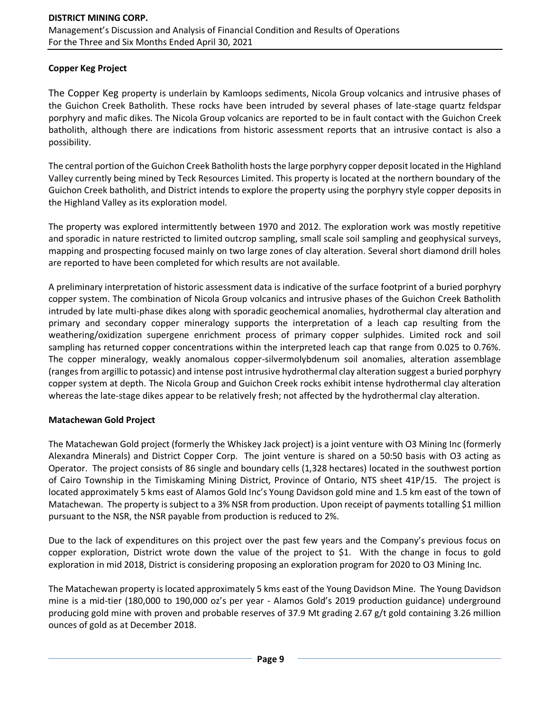### **Copper Keg Project**

The Copper Keg property is underlain by Kamloops sediments, Nicola Group volcanics and intrusive phases of the Guichon Creek Batholith. These rocks have been intruded by several phases of late-stage quartz feldspar porphyry and mafic dikes. The Nicola Group volcanics are reported to be in fault contact with the Guichon Creek batholith, although there are indications from historic assessment reports that an intrusive contact is also a possibility.

The central portion of the Guichon Creek Batholith hosts the large porphyry copper deposit located in the Highland Valley currently being mined by Teck Resources Limited. This property is located at the northern boundary of the Guichon Creek batholith, and District intends to explore the property using the porphyry style copper deposits in the Highland Valley as its exploration model.

The property was explored intermittently between 1970 and 2012. The exploration work was mostly repetitive and sporadic in nature restricted to limited outcrop sampling, small scale soil sampling and geophysical surveys, mapping and prospecting focused mainly on two large zones of clay alteration. Several short diamond drill holes are reported to have been completed for which results are not available.

A preliminary interpretation of historic assessment data is indicative of the surface footprint of a buried porphyry copper system. The combination of Nicola Group volcanics and intrusive phases of the Guichon Creek Batholith intruded by late multi-phase dikes along with sporadic geochemical anomalies, hydrothermal clay alteration and primary and secondary copper mineralogy supports the interpretation of a leach cap resulting from the weathering/oxidization supergene enrichment process of primary copper sulphides. Limited rock and soil sampling has returned copper concentrations within the interpreted leach cap that range from 0.025 to 0.76%. The copper mineralogy, weakly anomalous copper-silvermolybdenum soil anomalies, alteration assemblage (ranges from argillic to potassic) and intense post intrusive hydrothermal clay alteration suggest a buried porphyry copper system at depth. The Nicola Group and Guichon Creek rocks exhibit intense hydrothermal clay alteration whereas the late-stage dikes appear to be relatively fresh; not affected by the hydrothermal clay alteration.

### **Matachewan Gold Project**

The Matachewan Gold project (formerly the Whiskey Jack project) is a joint venture with O3 Mining Inc (formerly Alexandra Minerals) and District Copper Corp. The joint venture is shared on a 50:50 basis with O3 acting as Operator. The project consists of 86 single and boundary cells (1,328 hectares) located in the southwest portion of Cairo Township in the Timiskaming Mining District, Province of Ontario, NTS sheet 41P/15. The project is located approximately 5 kms east of Alamos Gold Inc's Young Davidson gold mine and 1.5 km east of the town of Matachewan. The property is subject to a 3% NSR from production. Upon receipt of payments totalling \$1 million pursuant to the NSR, the NSR payable from production is reduced to 2%.

Due to the lack of expenditures on this project over the past few years and the Company's previous focus on copper exploration, District wrote down the value of the project to \$1. With the change in focus to gold exploration in mid 2018, District is considering proposing an exploration program for 2020 to O3 Mining Inc.

The Matachewan property is located approximately 5 kms east of the Young Davidson Mine. The Young Davidson mine is a mid-tier (180,000 to 190,000 oz's per year - Alamos Gold's 2019 production guidance) underground producing gold mine with proven and probable reserves of 37.9 Mt grading 2.67 g/t gold containing 3.26 million ounces of gold as at December 2018.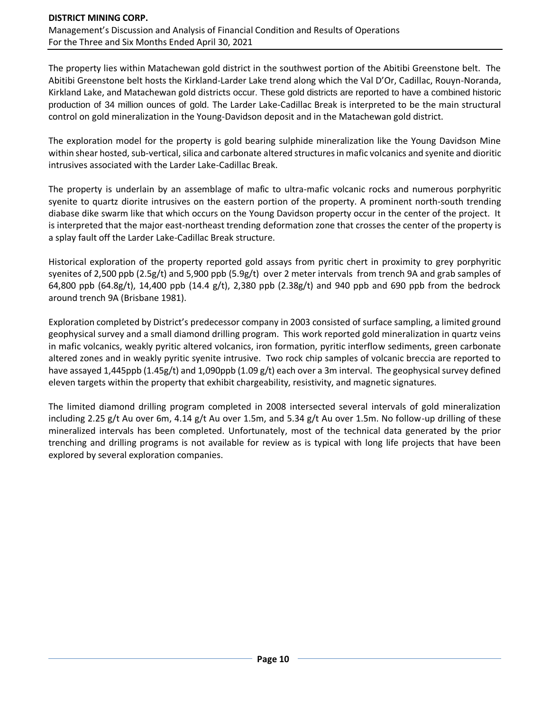The property lies within Matachewan gold district in the southwest portion of the Abitibi Greenstone belt. The Abitibi Greenstone belt hosts the Kirkland-Larder Lake trend along which the Val D'Or, Cadillac, Rouyn-Noranda, Kirkland Lake, and Matachewan gold districts occur. These gold districts are reported to have a combined historic production of 34 million ounces of gold. The Larder Lake-Cadillac Break is interpreted to be the main structural control on gold mineralization in the Young-Davidson deposit and in the Matachewan gold district.

The exploration model for the property is gold bearing sulphide mineralization like the Young Davidson Mine within shear hosted, sub-vertical, silica and carbonate altered structures in mafic volcanics and syenite and dioritic intrusives associated with the Larder Lake-Cadillac Break.

The property is underlain by an assemblage of mafic to ultra-mafic volcanic rocks and numerous porphyritic syenite to quartz diorite intrusives on the eastern portion of the property. A prominent north-south trending diabase dike swarm like that which occurs on the Young Davidson property occur in the center of the project. It is interpreted that the major east-northeast trending deformation zone that crosses the center of the property is a splay fault off the Larder Lake-Cadillac Break structure.

Historical exploration of the property reported gold assays from pyritic chert in proximity to grey porphyritic syenites of 2,500 ppb (2.5g/t) and 5,900 ppb (5.9g/t) over 2 meter intervals from trench 9A and grab samples of 64,800 ppb (64.8g/t), 14,400 ppb (14.4 g/t), 2,380 ppb (2.38g/t) and 940 ppb and 690 ppb from the bedrock around trench 9A (Brisbane 1981).

Exploration completed by District's predecessor company in 2003 consisted of surface sampling, a limited ground geophysical survey and a small diamond drilling program. This work reported gold mineralization in quartz veins in mafic volcanics, weakly pyritic altered volcanics, iron formation, pyritic interflow sediments, green carbonate altered zones and in weakly pyritic syenite intrusive. Two rock chip samples of volcanic breccia are reported to have assayed 1,445ppb (1.45g/t) and 1,090ppb (1.09 g/t) each over a 3m interval. The geophysical survey defined eleven targets within the property that exhibit chargeability, resistivity, and magnetic signatures.

The limited diamond drilling program completed in 2008 intersected several intervals of gold mineralization including 2.25 g/t Au over 6m, 4.14 g/t Au over 1.5m, and 5.34 g/t Au over 1.5m. No follow-up drilling of these mineralized intervals has been completed. Unfortunately, most of the technical data generated by the prior trenching and drilling programs is not available for review as is typical with long life projects that have been explored by several exploration companies.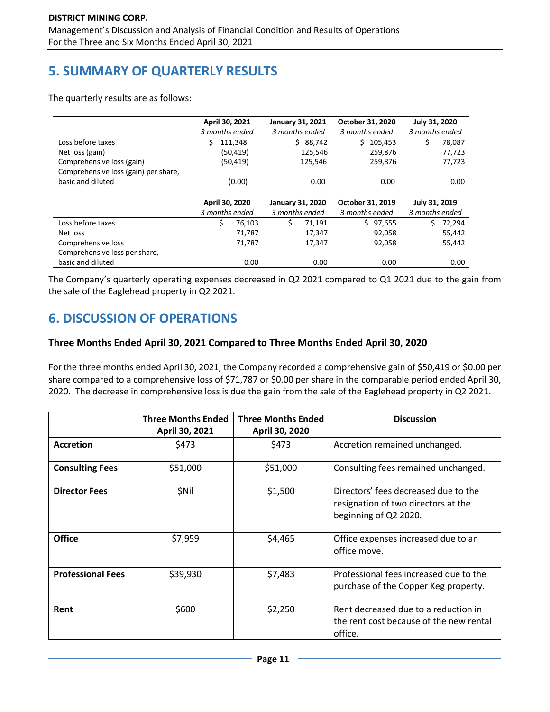# **5. SUMMARY OF QUARTERLY RESULTS**

The quarterly results are as follows:

|                                      | April 30, 2021 |           |   | <b>January 31, 2021</b> | October 31, 2020 | July 31, 2020  |        |
|--------------------------------------|----------------|-----------|---|-------------------------|------------------|----------------|--------|
|                                      | 3 months ended |           |   | 3 months ended          | 3 months ended   | 3 months ended |        |
| Loss before taxes                    | Ś.             | 111,348   |   | \$88,742                | Ś.<br>105,453    |                | 78,087 |
| Net loss (gain)                      |                | (50, 419) |   | 125,546                 | 259,876          |                | 77,723 |
| Comprehensive loss (gain)            |                | (50, 419) |   | 125,546                 | 259,876          |                | 77,723 |
| Comprehensive loss (gain) per share, |                |           |   |                         |                  |                |        |
| basic and diluted                    |                | (0.00)    |   | 0.00                    | 0.00             |                | 0.00   |
|                                      |                |           |   |                         |                  |                |        |
|                                      | April 30, 2020 |           |   | January 31, 2020        | October 31, 2019 | July 31, 2019  |        |
|                                      | 3 months ended |           |   | 3 months ended          | 3 months ended   | 3 months ended |        |
| Loss before taxes                    | \$             | 76,103    | Ś | 71,191                  | 97,655<br>Ś.     | S.             | 72,294 |
| Net loss                             |                | 71,787    |   | 17,347                  | 92,058           |                | 55,442 |
| Comprehensive loss                   |                | 71,787    |   | 17,347                  | 92,058           |                | 55,442 |
| Comprehensive loss per share,        |                |           |   |                         |                  |                |        |
| basic and diluted                    |                | 0.00      |   | 0.00                    | 0.00             |                | 0.00   |

The Company's quarterly operating expenses decreased in Q2 2021 compared to Q1 2021 due to the gain from the sale of the Eaglehead property in Q2 2021.

# **6. DISCUSSION OF OPERATIONS**

### **Three Months Ended April 30, 2021 Compared to Three Months Ended April 30, 2020**

For the three months ended April 30, 2021, the Company recorded a comprehensive gain of \$50,419 or \$0.00 per share compared to a comprehensive loss of \$71,787 or \$0.00 per share in the comparable period ended April 30, 2020. The decrease in comprehensive loss is due the gain from the sale of the Eaglehead property in Q2 2021.

|                          | <b>Three Months Ended</b><br>April 30, 2021 | <b>Three Months Ended</b><br>April 30, 2020 | <b>Discussion</b>                                                                                    |
|--------------------------|---------------------------------------------|---------------------------------------------|------------------------------------------------------------------------------------------------------|
| <b>Accretion</b>         | \$473                                       | \$473                                       | Accretion remained unchanged.                                                                        |
| <b>Consulting Fees</b>   | \$51,000                                    | \$51,000                                    | Consulting fees remained unchanged.                                                                  |
| <b>Director Fees</b>     | \$Nil                                       | \$1,500                                     | Directors' fees decreased due to the<br>resignation of two directors at the<br>beginning of Q2 2020. |
| <b>Office</b>            | \$7,959                                     | \$4,465                                     | Office expenses increased due to an<br>office move.                                                  |
| <b>Professional Fees</b> | \$39,930                                    | \$7,483                                     | Professional fees increased due to the<br>purchase of the Copper Keg property.                       |
| Rent                     | \$600                                       | \$2,250                                     | Rent decreased due to a reduction in<br>the rent cost because of the new rental<br>office.           |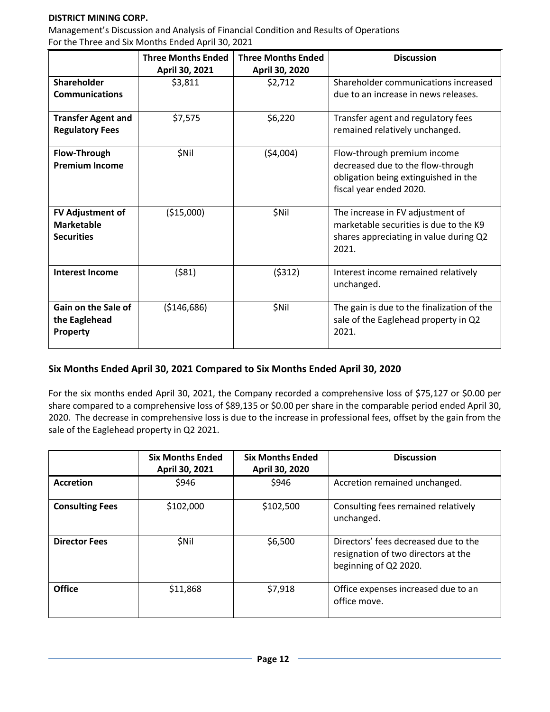Management's Discussion and Analysis of Financial Condition and Results of Operations For the Three and Six Months Ended April 30, 2021

|                           | <b>Three Months Ended</b> | <b>Three Months Ended</b> | <b>Discussion</b>                          |
|---------------------------|---------------------------|---------------------------|--------------------------------------------|
|                           | April 30, 2021            | April 30, 2020            |                                            |
| Shareholder               | \$3,811                   | \$2,712                   | Shareholder communications increased       |
| <b>Communications</b>     |                           |                           | due to an increase in news releases.       |
| <b>Transfer Agent and</b> | \$7,575                   | \$6,220                   | Transfer agent and regulatory fees         |
| <b>Regulatory Fees</b>    |                           |                           | remained relatively unchanged.             |
| Flow-Through              | \$Nil                     | (54,004)                  | Flow-through premium income                |
| <b>Premium Income</b>     |                           |                           | decreased due to the flow-through          |
|                           |                           |                           | obligation being extinguished in the       |
|                           |                           |                           | fiscal year ended 2020.                    |
|                           |                           |                           |                                            |
| FV Adjustment of          | ( \$15,000)               | \$Nil                     | The increase in FV adjustment of           |
| <b>Marketable</b>         |                           |                           | marketable securities is due to the K9     |
| <b>Securities</b>         |                           |                           | shares appreciating in value during Q2     |
|                           |                           |                           | 2021.                                      |
|                           |                           |                           |                                            |
| <b>Interest Income</b>    | ( \$81)                   | (5312)                    | Interest income remained relatively        |
|                           |                           |                           | unchanged.                                 |
|                           |                           |                           |                                            |
| Gain on the Sale of       | ( \$146, 686)             | \$Nil                     | The gain is due to the finalization of the |
| the Eaglehead             |                           |                           | sale of the Eaglehead property in Q2       |
| Property                  |                           |                           | 2021.                                      |
|                           |                           |                           |                                            |

### **Six Months Ended April 30, 2021 Compared to Six Months Ended April 30, 2020**

For the six months ended April 30, 2021, the Company recorded a comprehensive loss of \$75,127 or \$0.00 per share compared to a comprehensive loss of \$89,135 or \$0.00 per share in the comparable period ended April 30, 2020. The decrease in comprehensive loss is due to the increase in professional fees, offset by the gain from the sale of the Eaglehead property in Q2 2021.

|                        | <b>Six Months Ended</b><br>April 30, 2021 | <b>Six Months Ended</b><br>April 30, 2020 | <b>Discussion</b>                                                                                    |
|------------------------|-------------------------------------------|-------------------------------------------|------------------------------------------------------------------------------------------------------|
| <b>Accretion</b>       | \$946                                     | \$946                                     | Accretion remained unchanged.                                                                        |
| <b>Consulting Fees</b> | \$102,000                                 | \$102,500                                 | Consulting fees remained relatively<br>unchanged.                                                    |
| <b>Director Fees</b>   | <b>SNil</b>                               | \$6,500                                   | Directors' fees decreased due to the<br>resignation of two directors at the<br>beginning of Q2 2020. |
| <b>Office</b>          | \$11,868                                  | \$7,918                                   | Office expenses increased due to an<br>office move.                                                  |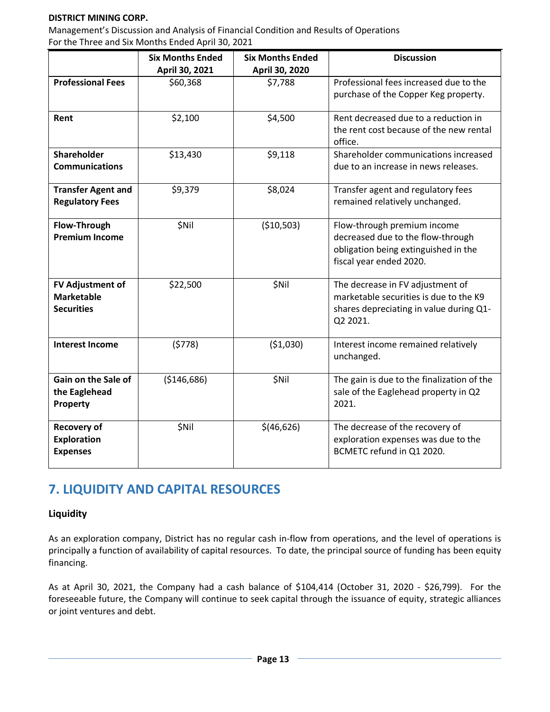Management's Discussion and Analysis of Financial Condition and Results of Operations For the Three and Six Months Ended April 30, 2021

|                           | <b>Six Months Ended</b> | <b>Six Months Ended</b> | <b>Discussion</b>                          |
|---------------------------|-------------------------|-------------------------|--------------------------------------------|
|                           | April 30, 2021          | April 30, 2020          |                                            |
| <b>Professional Fees</b>  | \$60,368                | \$7,788                 | Professional fees increased due to the     |
|                           |                         |                         | purchase of the Copper Keg property.       |
| Rent                      | \$2,100                 | \$4,500                 | Rent decreased due to a reduction in       |
|                           |                         |                         | the rent cost because of the new rental    |
|                           |                         |                         | office.                                    |
| <b>Shareholder</b>        | \$13,430                | \$9,118                 | Shareholder communications increased       |
| <b>Communications</b>     |                         |                         | due to an increase in news releases.       |
|                           |                         |                         |                                            |
| <b>Transfer Agent and</b> | \$9,379                 | \$8,024                 | Transfer agent and regulatory fees         |
| <b>Regulatory Fees</b>    |                         |                         | remained relatively unchanged.             |
|                           |                         |                         |                                            |
| Flow-Through              | \$Nil                   | ( \$10,503)             | Flow-through premium income                |
| <b>Premium Income</b>     |                         |                         | decreased due to the flow-through          |
|                           |                         |                         | obligation being extinguished in the       |
|                           |                         |                         | fiscal year ended 2020.                    |
|                           |                         |                         |                                            |
| FV Adjustment of          | \$22,500                | \$Nil                   | The decrease in FV adjustment of           |
| <b>Marketable</b>         |                         |                         | marketable securities is due to the K9     |
| <b>Securities</b>         |                         |                         | shares depreciating in value during Q1-    |
|                           |                         |                         | Q2 2021.                                   |
|                           |                         |                         |                                            |
| <b>Interest Income</b>    | (5778)                  | ( \$1,030)              | Interest income remained relatively        |
|                           |                         |                         | unchanged.                                 |
|                           |                         |                         |                                            |
| Gain on the Sale of       | ( \$146, 686)           | \$Nil                   | The gain is due to the finalization of the |
| the Eaglehead             |                         |                         | sale of the Eaglehead property in Q2       |
| Property                  |                         |                         | 2021.                                      |
|                           |                         |                         |                                            |
| <b>Recovery of</b>        | \$Nil                   | \$(46,626)              | The decrease of the recovery of            |
| <b>Exploration</b>        |                         |                         | exploration expenses was due to the        |
| <b>Expenses</b>           |                         |                         | BCMETC refund in Q1 2020.                  |
|                           |                         |                         |                                            |

# **7. LIQUIDITY AND CAPITAL RESOURCES**

### **Liquidity**

As an exploration company, District has no regular cash in-flow from operations, and the level of operations is principally a function of availability of capital resources. To date, the principal source of funding has been equity financing.

As at April 30, 2021, the Company had a cash balance of \$104,414 (October 31, 2020 - \$26,799). For the foreseeable future, the Company will continue to seek capital through the issuance of equity, strategic alliances or joint ventures and debt.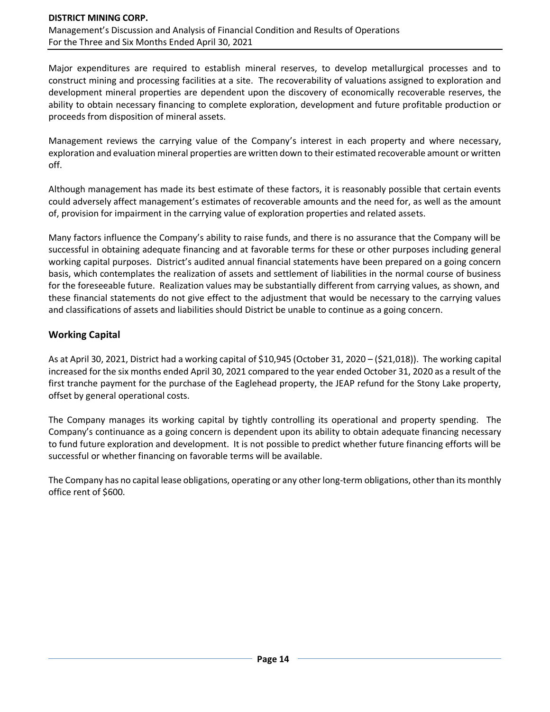Major expenditures are required to establish mineral reserves, to develop metallurgical processes and to construct mining and processing facilities at a site. The recoverability of valuations assigned to exploration and development mineral properties are dependent upon the discovery of economically recoverable reserves, the ability to obtain necessary financing to complete exploration, development and future profitable production or proceeds from disposition of mineral assets.

Management reviews the carrying value of the Company's interest in each property and where necessary, exploration and evaluation mineral properties are written down to their estimated recoverable amount or written off.

Although management has made its best estimate of these factors, it is reasonably possible that certain events could adversely affect management's estimates of recoverable amounts and the need for, as well as the amount of, provision for impairment in the carrying value of exploration properties and related assets.

Many factors influence the Company's ability to raise funds, and there is no assurance that the Company will be successful in obtaining adequate financing and at favorable terms for these or other purposes including general working capital purposes. District's audited annual financial statements have been prepared on a going concern basis, which contemplates the realization of assets and settlement of liabilities in the normal course of business for the foreseeable future. Realization values may be substantially different from carrying values, as shown, and these financial statements do not give effect to the adjustment that would be necessary to the carrying values and classifications of assets and liabilities should District be unable to continue as a going concern.

### **Working Capital**

As at April 30, 2021, District had a working capital of \$10,945 (October 31, 2020 – (\$21,018)). The working capital increased for the six months ended April 30, 2021 compared to the year ended October 31, 2020 as a result of the first tranche payment for the purchase of the Eaglehead property, the JEAP refund for the Stony Lake property, offset by general operational costs.

The Company manages its working capital by tightly controlling its operational and property spending. The Company's continuance as a going concern is dependent upon its ability to obtain adequate financing necessary to fund future exploration and development. It is not possible to predict whether future financing efforts will be successful or whether financing on favorable terms will be available.

The Company has no capital lease obligations, operating or any other long-term obligations, other than its monthly office rent of \$600.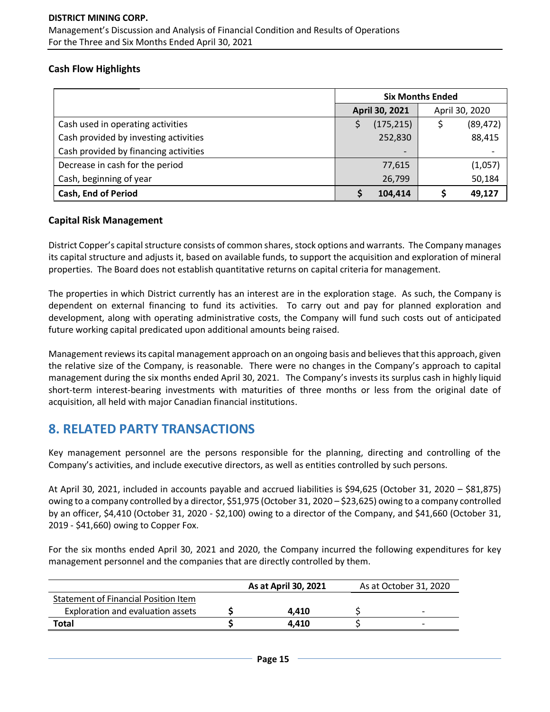### **Cash Flow Highlights**

|                                       | <b>Six Months Ended</b>  |                |  |  |
|---------------------------------------|--------------------------|----------------|--|--|
|                                       | April 30, 2021           | April 30, 2020 |  |  |
| Cash used in operating activities     | (175, 215)               | (89, 472)      |  |  |
| Cash provided by investing activities | 252,830                  | 88,415         |  |  |
| Cash provided by financing activities | $\overline{\phantom{0}}$ |                |  |  |
| Decrease in cash for the period       | 77,615                   | (1,057)        |  |  |
| Cash, beginning of year               | 26,799                   | 50,184         |  |  |
| <b>Cash, End of Period</b>            | 104,414                  | 49,127         |  |  |

### **Capital Risk Management**

District Copper's capital structure consists of common shares, stock options and warrants. The Company manages its capital structure and adjusts it, based on available funds, to support the acquisition and exploration of mineral properties. The Board does not establish quantitative returns on capital criteria for management.

The properties in which District currently has an interest are in the exploration stage. As such, the Company is dependent on external financing to fund its activities. To carry out and pay for planned exploration and development, along with operating administrative costs, the Company will fund such costs out of anticipated future working capital predicated upon additional amounts being raised.

Management reviews its capital management approach on an ongoing basis and believes that this approach, given the relative size of the Company, is reasonable. There were no changes in the Company's approach to capital management during the six months ended April 30, 2021. The Company's invests its surplus cash in highly liquid short-term interest-bearing investments with maturities of three months or less from the original date of acquisition, all held with major Canadian financial institutions.

## **8. RELATED PARTY TRANSACTIONS**

Key management personnel are the persons responsible for the planning, directing and controlling of the Company's activities, and include executive directors, as well as entities controlled by such persons.

At April 30, 2021, included in accounts payable and accrued liabilities is \$94,625 (October 31, 2020 – \$81,875) owing to a company controlled by a director, \$51,975 (October 31, 2020 – \$23,625) owing to a company controlled by an officer, \$4,410 (October 31, 2020 - \$2,100) owing to a director of the Company, and \$41,660 (October 31, 2019 - \$41,660) owing to Copper Fox.

For the six months ended April 30, 2021 and 2020, the Company incurred the following expenditures for key management personnel and the companies that are directly controlled by them.

|                                      | As at April 30, 2021 | As at October 31, 2020   |
|--------------------------------------|----------------------|--------------------------|
| Statement of Financial Position Item |                      |                          |
| Exploration and evaluation assets    | 4.410                | $\overline{\phantom{0}}$ |
| Total                                | 4.410                |                          |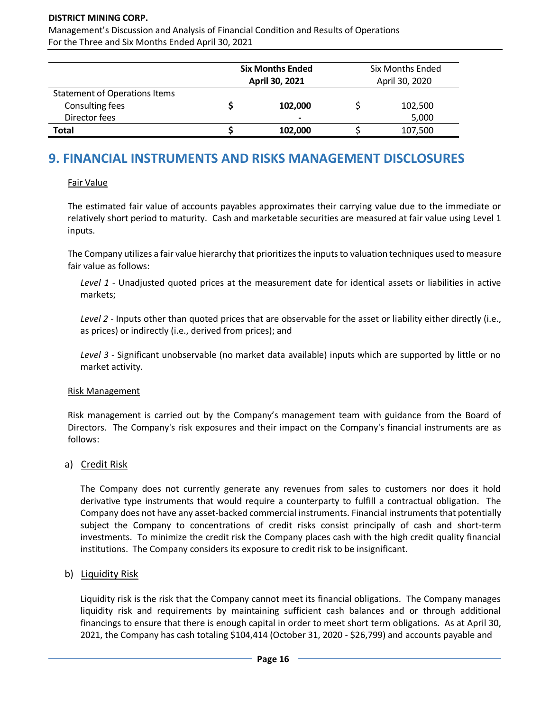Management's Discussion and Analysis of Financial Condition and Results of Operations For the Three and Six Months Ended April 30, 2021

|                                      | <b>Six Months Ended</b><br>April 30, 2021 | <b>Six Months Ended</b><br>April 30, 2020 |         |  |
|--------------------------------------|-------------------------------------------|-------------------------------------------|---------|--|
| <b>Statement of Operations Items</b> |                                           |                                           |         |  |
| Consulting fees                      | 102,000                                   |                                           | 102,500 |  |
| Director fees                        | $\blacksquare$                            |                                           | 5,000   |  |
| Total                                | 102,000                                   |                                           | 107,500 |  |

# **9. FINANCIAL INSTRUMENTS AND RISKS MANAGEMENT DISCLOSURES**

#### Fair Value

The estimated fair value of accounts payables approximates their carrying value due to the immediate or relatively short period to maturity. Cash and marketable securities are measured at fair value using Level 1 inputs.

The Company utilizes a fair value hierarchy that prioritizes the inputs to valuation techniques used to measure fair value as follows:

*Level 1* - Unadjusted quoted prices at the measurement date for identical assets or liabilities in active markets;

*Level 2* - Inputs other than quoted prices that are observable for the asset or liability either directly (i.e., as prices) or indirectly (i.e., derived from prices); and

*Level 3* - Significant unobservable (no market data available) inputs which are supported by little or no market activity.

#### Risk Management

Risk management is carried out by the Company's management team with guidance from the Board of Directors. The Company's risk exposures and their impact on the Company's financial instruments are as follows:

### a) Credit Risk

The Company does not currently generate any revenues from sales to customers nor does it hold derivative type instruments that would require a counterparty to fulfill a contractual obligation. The Company does not have any asset-backed commercial instruments. Financial instruments that potentially subject the Company to concentrations of credit risks consist principally of cash and short-term investments. To minimize the credit risk the Company places cash with the high credit quality financial institutions. The Company considers its exposure to credit risk to be insignificant.

### b) Liquidity Risk

Liquidity risk is the risk that the Company cannot meet its financial obligations. The Company manages liquidity risk and requirements by maintaining sufficient cash balances and or through additional financings to ensure that there is enough capital in order to meet short term obligations. As at April 30, 2021, the Company has cash totaling \$104,414 (October 31, 2020 - \$26,799) and accounts payable and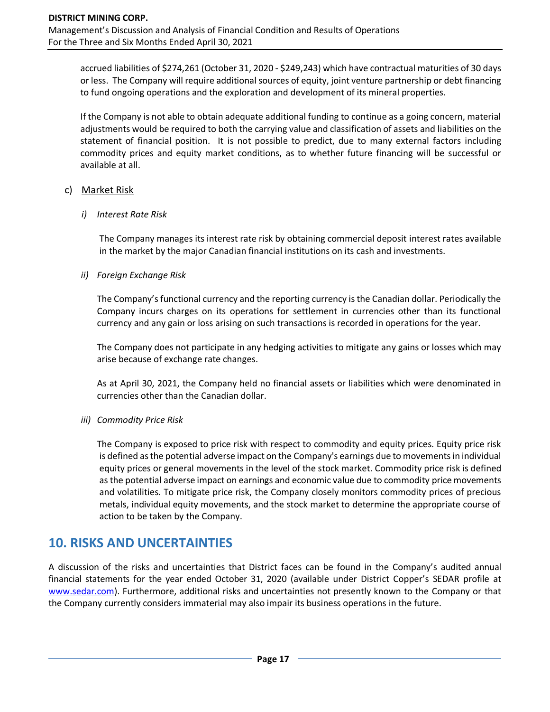accrued liabilities of \$274,261 (October 31, 2020 - \$249,243) which have contractual maturities of 30 days or less. The Company will require additional sources of equity, joint venture partnership or debt financing to fund ongoing operations and the exploration and development of its mineral properties.

If the Company is not able to obtain adequate additional funding to continue as a going concern, material adjustments would be required to both the carrying value and classification of assets and liabilities on the statement of financial position. It is not possible to predict, due to many external factors including commodity prices and equity market conditions, as to whether future financing will be successful or available at all.

#### c) Market Risk

#### *i) Interest Rate Risk*

The Company manages its interest rate risk by obtaining commercial deposit interest rates available in the market by the major Canadian financial institutions on its cash and investments.

### *ii) Foreign Exchange Risk*

The Company's functional currency and the reporting currency is the Canadian dollar. Periodically the Company incurs charges on its operations for settlement in currencies other than its functional currency and any gain or loss arising on such transactions is recorded in operations for the year.

The Company does not participate in any hedging activities to mitigate any gains or losses which may arise because of exchange rate changes.

As at April 30, 2021, the Company held no financial assets or liabilities which were denominated in currencies other than the Canadian dollar.

### *iii) Commodity Price Risk*

The Company is exposed to price risk with respect to commodity and equity prices. Equity price risk is defined as the potential adverse impact on the Company's earnings due to movements in individual equity prices or general movements in the level of the stock market. Commodity price risk is defined as the potential adverse impact on earnings and economic value due to commodity price movements and volatilities. To mitigate price risk, the Company closely monitors commodity prices of precious metals, individual equity movements, and the stock market to determine the appropriate course of action to be taken by the Company.

### **10. RISKS AND UNCERTAINTIES**

A discussion of the risks and uncertainties that District faces can be found in the Company's audited annual financial statements for the year ended October 31, 2020 (available under District Copper's SEDAR profile at [www.sedar.com\)](http://www.sedar.com/). Furthermore, additional risks and uncertainties not presently known to the Company or that the Company currently considers immaterial may also impair its business operations in the future.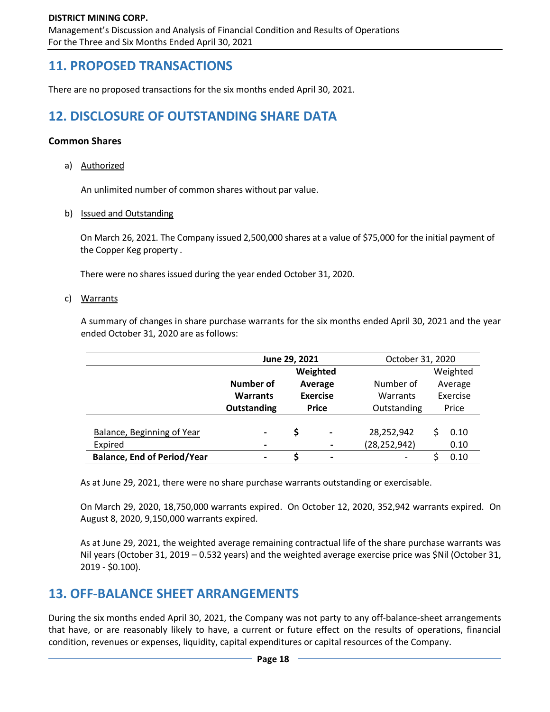Management's Discussion and Analysis of Financial Condition and Results of Operations For the Three and Six Months Ended April 30, 2021

## **11. PROPOSED TRANSACTIONS**

There are no proposed transactions for the six months ended April 30, 2021.

# **12. DISCLOSURE OF OUTSTANDING SHARE DATA**

#### **Common Shares**

a) Authorized

An unlimited number of common shares without par value.

b) Issued and Outstanding

On March 26, 2021. The Company issued 2,500,000 shares at a value of \$75,000 for the initial payment of the Copper Keg property .

There were no shares issued during the year ended October 31, 2020.

#### c) Warrants

A summary of changes in share purchase warrants for the six months ended April 30, 2021 and the year ended October 31, 2020 are as follows:

|                                    | June 29, 2021                                  |                               |  | October 31, 2020 |   |           |  |         |
|------------------------------------|------------------------------------------------|-------------------------------|--|------------------|---|-----------|--|---------|
|                                    | Weighted                                       |                               |  |                  |   | Weighted  |  |         |
|                                    | Number of                                      | Average                       |  |                  |   | Number of |  | Average |
|                                    | <b>Exercise</b><br><b>Warrants</b><br>Warrants |                               |  |                  |   | Exercise  |  |         |
|                                    | Outstanding                                    | <b>Price</b>                  |  | Outstanding      |   | Price     |  |         |
|                                    |                                                |                               |  |                  |   |           |  |         |
| Balance, Beginning of Year         | $\qquad \qquad \blacksquare$                   | Ś<br>$\overline{\phantom{a}}$ |  | 28,252,942       |   | 0.10      |  |         |
| Expired                            | $\blacksquare$                                 |                               |  | (28, 252, 942)   |   | 0.10      |  |         |
| <b>Balance, End of Period/Year</b> | $\blacksquare$                                 |                               |  |                  | ς | 0.10      |  |         |

As at June 29, 2021, there were no share purchase warrants outstanding or exercisable.

On March 29, 2020, 18,750,000 warrants expired. On October 12, 2020, 352,942 warrants expired. On August 8, 2020, 9,150,000 warrants expired.

As at June 29, 2021, the weighted average remaining contractual life of the share purchase warrants was Nil years (October 31, 2019 – 0.532 years) and the weighted average exercise price was \$Nil (October 31, 2019 - \$0.100).

## **13. OFF-BALANCE SHEET ARRANGEMENTS**

During the six months ended April 30, 2021, the Company was not party to any off-balance-sheet arrangements that have, or are reasonably likely to have, a current or future effect on the results of operations, financial condition, revenues or expenses, liquidity, capital expenditures or capital resources of the Company.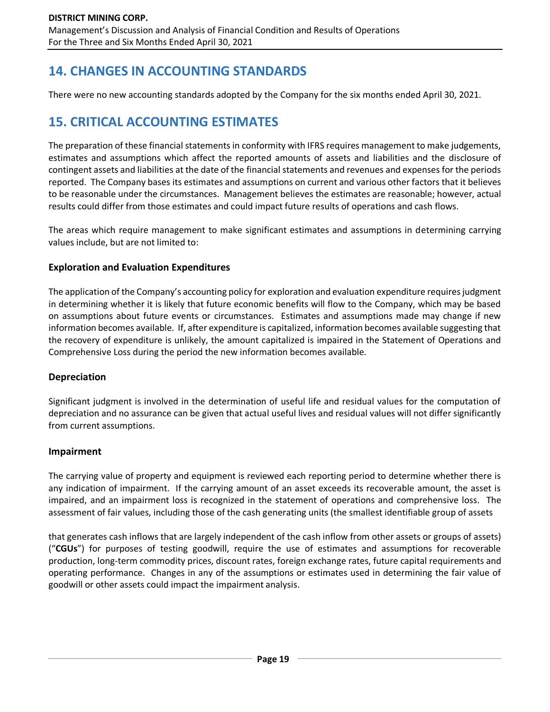# **14. CHANGES IN ACCOUNTING STANDARDS**

There were no new accounting standards adopted by the Company for the six months ended April 30, 2021.

# **15. CRITICAL ACCOUNTING ESTIMATES**

The preparation of these financial statements in conformity with IFRS requires management to make judgements, estimates and assumptions which affect the reported amounts of assets and liabilities and the disclosure of contingent assets and liabilities at the date of the financial statements and revenues and expenses for the periods reported. The Company bases its estimates and assumptions on current and various other factors that it believes to be reasonable under the circumstances. Management believes the estimates are reasonable; however, actual results could differ from those estimates and could impact future results of operations and cash flows.

The areas which require management to make significant estimates and assumptions in determining carrying values include, but are not limited to:

### **Exploration and Evaluation Expenditures**

The application of the Company's accounting policy for exploration and evaluation expenditure requires judgment in determining whether it is likely that future economic benefits will flow to the Company, which may be based on assumptions about future events or circumstances. Estimates and assumptions made may change if new information becomes available. If, after expenditure is capitalized, information becomes available suggesting that the recovery of expenditure is unlikely, the amount capitalized is impaired in the Statement of Operations and Comprehensive Loss during the period the new information becomes available.

### **Depreciation**

Significant judgment is involved in the determination of useful life and residual values for the computation of depreciation and no assurance can be given that actual useful lives and residual values will not differ significantly from current assumptions.

### **Impairment**

The carrying value of property and equipment is reviewed each reporting period to determine whether there is any indication of impairment. If the carrying amount of an asset exceeds its recoverable amount, the asset is impaired, and an impairment loss is recognized in the statement of operations and comprehensive loss. The assessment of fair values, including those of the cash generating units (the smallest identifiable group of assets

that generates cash inflows that are largely independent of the cash inflow from other assets or groups of assets) ("**CGUs**") for purposes of testing goodwill, require the use of estimates and assumptions for recoverable production, long-term commodity prices, discount rates, foreign exchange rates, future capital requirements and operating performance. Changes in any of the assumptions or estimates used in determining the fair value of goodwill or other assets could impact the impairment analysis.